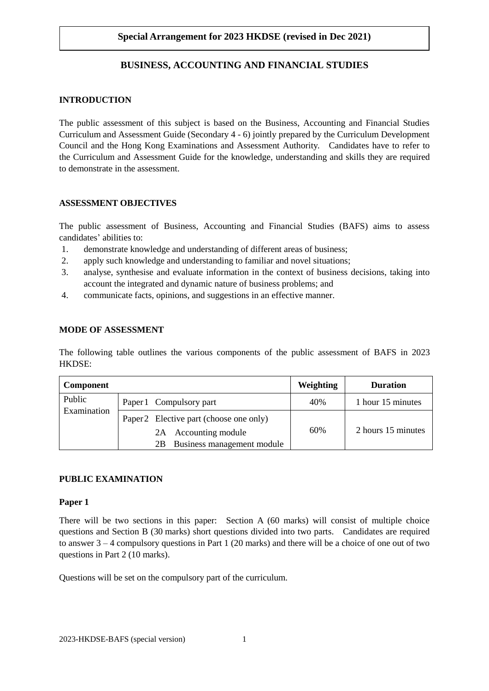## **Special Arrangement for 2023 HKDSE (revised in Dec 2021)**

# **BUSINESS, ACCOUNTING AND FINANCIAL STUDIES**

#### **INTRODUCTION**

The public assessment of this subject is based on the Business, Accounting and Financial Studies Curriculum and Assessment Guide (Secondary 4 - 6) jointly prepared by the Curriculum Development Council and the Hong Kong Examinations and Assessment Authority. Candidates have to refer to the Curriculum and Assessment Guide for the knowledge, understanding and skills they are required to demonstrate in the assessment.

### **ASSESSMENT OBJECTIVES**

The public assessment of Business, Accounting and Financial Studies (BAFS) aims to assess candidates' abilities to:

- 1. demonstrate knowledge and understanding of different areas of business;
- 2. apply such knowledge and understanding to familiar and novel situations;
- 3. analyse, synthesise and evaluate information in the context of business decisions, taking into account the integrated and dynamic nature of business problems; and
- 4. communicate facts, opinions, and suggestions in an effective manner.

### **MODE OF ASSESSMENT**

The following table outlines the various components of the public assessment of BAFS in 2023 HKDSE:

| <b>Component</b>      |                                         | Weighting | <b>Duration</b>    |
|-----------------------|-----------------------------------------|-----------|--------------------|
| Public<br>Examination | Paper 1 Compulsory part                 | 40%       | 1 hour 15 minutes  |
|                       | Paper 2 Elective part (choose one only) |           |                    |
|                       | 2A Accounting module                    | 60%       | 2 hours 15 minutes |
|                       | Business management module<br>2В        |           |                    |

## **PUBLIC EXAMINATION**

#### **Paper 1**

There will be two sections in this paper: Section A (60 marks) will consist of multiple choice questions and Section B (30 marks) short questions divided into two parts. Candidates are required to answer  $3 - 4$  compulsory questions in Part 1 (20 marks) and there will be a choice of one out of two questions in Part 2 (10 marks).

Questions will be set on the compulsory part of the curriculum.